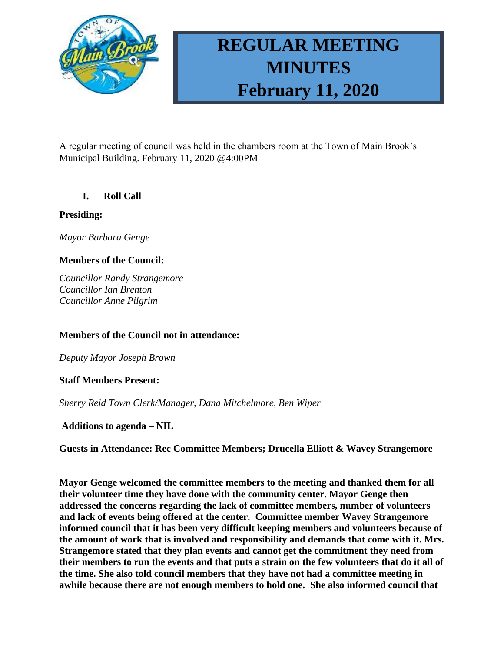

# **REGULAR MEETING MINUTES February 11, 2020**

A regular meeting of council was held in the chambers room at the Town of Main Brook's Municipal Building. February 11, 2020 @4:00PM

# **I. Roll Call**

### **Presiding:**

*Mayor Barbara Genge*

# **Members of the Council:**

*Councillor Randy Strangemore Councillor Ian Brenton Councillor Anne Pilgrim*

### **Members of the Council not in attendance:**

*Deputy Mayor Joseph Brown*

### **Staff Members Present:**

*Sherry Reid Town Clerk/Manager, Dana Mitchelmore, Ben Wiper*

### **Additions to agenda – NIL**

**Guests in Attendance: Rec Committee Members; Drucella Elliott & Wavey Strangemore**

**Mayor Genge welcomed the committee members to the meeting and thanked them for all their volunteer time they have done with the community center. Mayor Genge then addressed the concerns regarding the lack of committee members, number of volunteers and lack of events being offered at the center. Committee member Wavey Strangemore informed council that it has been very difficult keeping members and volunteers because of the amount of work that is involved and responsibility and demands that come with it. Mrs. Strangemore stated that they plan events and cannot get the commitment they need from their members to run the events and that puts a strain on the few volunteers that do it all of the time. She also told council members that they have not had a committee meeting in awhile because there are not enough members to hold one. She also informed council that**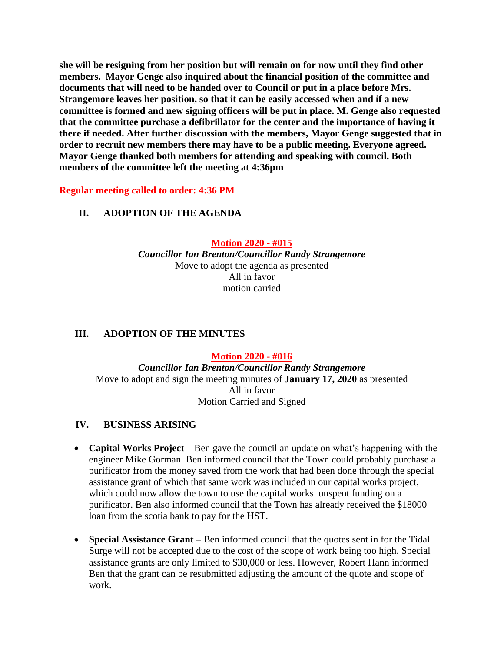**she will be resigning from her position but will remain on for now until they find other members. Mayor Genge also inquired about the financial position of the committee and documents that will need to be handed over to Council or put in a place before Mrs. Strangemore leaves her position, so that it can be easily accessed when and if a new committee is formed and new signing officers will be put in place. M. Genge also requested that the committee purchase a defibrillator for the center and the importance of having it there if needed. After further discussion with the members, Mayor Genge suggested that in order to recruit new members there may have to be a public meeting. Everyone agreed. Mayor Genge thanked both members for attending and speaking with council. Both members of the committee left the meeting at 4:36pm**

**Regular meeting called to order: 4:36 PM**

### **II. ADOPTION OF THE AGENDA**

**Motion 2020 - #015**

*Councillor Ian Brenton/Councillor Randy Strangemore* Move to adopt the agenda as presented All in favor motion carried

### **III. ADOPTION OF THE MINUTES**

**Motion 2020 - #016** *Councillor Ian Brenton/Councillor Randy Strangemore* Move to adopt and sign the meeting minutes of **January 17, 2020** as presented All in favor Motion Carried and Signed

### **IV. BUSINESS ARISING**

- **Capital Works Project –** Ben gave the council an update on what's happening with the engineer Mike Gorman. Ben informed council that the Town could probably purchase a purificator from the money saved from the work that had been done through the special assistance grant of which that same work was included in our capital works project, which could now allow the town to use the capital works unspent funding on a purificator. Ben also informed council that the Town has already received the \$18000 loan from the scotia bank to pay for the HST.
- **Special Assistance Grant –** Ben informed council that the quotes sent in for the Tidal Surge will not be accepted due to the cost of the scope of work being too high. Special assistance grants are only limited to \$30,000 or less. However, Robert Hann informed Ben that the grant can be resubmitted adjusting the amount of the quote and scope of work.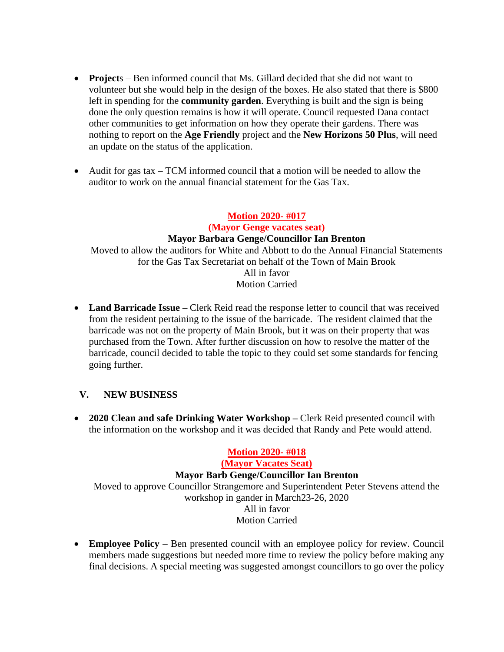- **Project**s Ben informed council that Ms. Gillard decided that she did not want to volunteer but she would help in the design of the boxes. He also stated that there is \$800 left in spending for the **community garden**. Everything is built and the sign is being done the only question remains is how it will operate. Council requested Dana contact other communities to get information on how they operate their gardens. There was nothing to report on the **Age Friendly** project and the **New Horizons 50 Plus**, will need an update on the status of the application.
- Audit for gas tax TCM informed council that a motion will be needed to allow the auditor to work on the annual financial statement for the Gas Tax.

### **Motion 2020- #017**

**(Mayor Genge vacates seat) Mayor Barbara Genge/Councillor Ian Brenton** Moved to allow the auditors for White and Abbott to do the Annual Financial Statements for the Gas Tax Secretariat on behalf of the Town of Main Brook All in favor Motion Carried

• **Land Barricade Issue –** Clerk Reid read the response letter to council that was received from the resident pertaining to the issue of the barricade. The resident claimed that the barricade was not on the property of Main Brook, but it was on their property that was purchased from the Town. After further discussion on how to resolve the matter of the barricade, council decided to table the topic to they could set some standards for fencing going further.

### **V. NEW BUSINESS**

• **2020 Clean and safe Drinking Water Workshop –** Clerk Reid presented council with the information on the workshop and it was decided that Randy and Pete would attend.

### **Motion 2020- #018 (Mayor Vacates Seat) Mayor Barb Genge/Councillor Ian Brenton** Moved to approve Councillor Strangemore and Superintendent Peter Stevens attend the workshop in gander in March23-26, 2020 All in favor Motion Carried

• **Employee Policy** – Ben presented council with an employee policy for review. Council members made suggestions but needed more time to review the policy before making any final decisions. A special meeting was suggested amongst councillors to go over the policy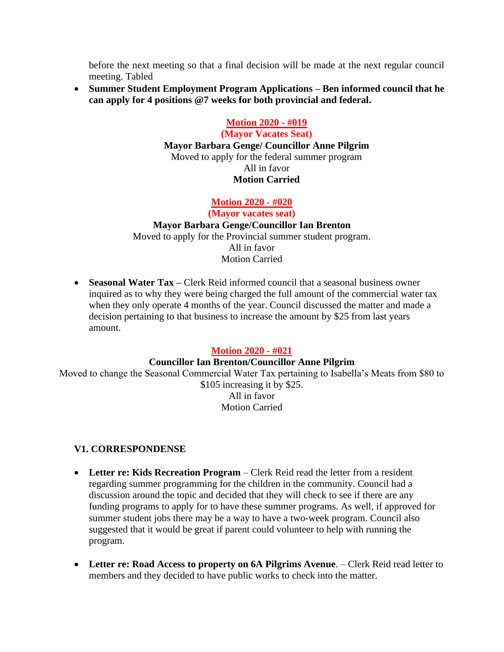before the next meeting so that a final decision will be made at the next regular council meeting. Tabled

• **Summer Student Employment Program Applications – Ben informed council that he can apply for 4 positions @7 weeks for both provincial and federal.**

# **Motion 2020 - #019**

**(Mayor Vacates Seat) Mayor Barbara Genge/ Councillor Anne Pilgrim** Moved to apply for the federal summer program All in favor **Motion Carried**

### **Motion 2020 - #020**

**(Mayor vacates seat) Mayor Barbara Genge/Councillor Ian Brenton** Moved to apply for the Provincial summer student program. All in favor Motion Carried

• **Seasonal Water Tax** – Clerk Reid informed council that a seasonal business owner inquired as to why they were being charged the full amount of the commercial water tax when they only operate 4 months of the year. Council discussed the matter and made a decision pertaining to that business to increase the amount by \$25 from last years amount.

### **Motion 2020 - #021**

### **Councillor Ian Brenton/Councillor Anne Pilgrim**

Moved to change the Seasonal Commercial Water Tax pertaining to Isabella's Meats from \$80 to \$105 increasing it by \$25. All in favor Motion Carried

### **V1. CORRESPONDENSE**

- Letter re: Kids Recreation Program Clerk Reid read the letter from a resident regarding summer programming for the children in the community. Council had a discussion around the topic and decided that they will check to see if there are any funding programs to apply for to have these summer programs. As well, if approved for summer student jobs there may be a way to have a two-week program. Council also suggested that it would be great if parent could volunteer to help with running the program.
- Letter re: Road Access to property on 6A Pilgrims Avenue. Clerk Reid read letter to members and they decided to have public works to check into the matter.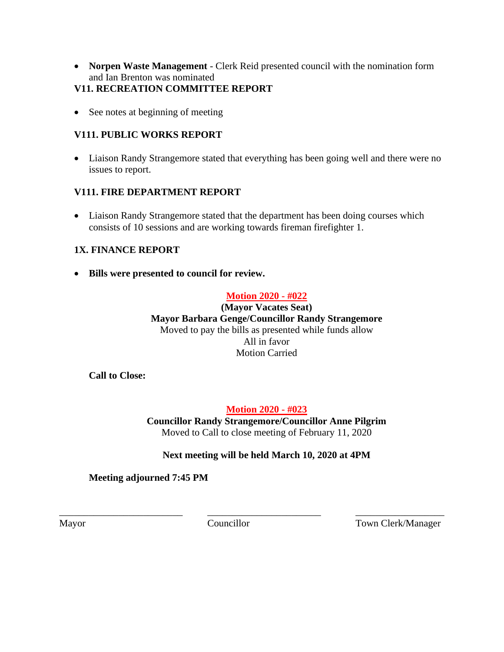• **Norpen Waste Management** - Clerk Reid presented council with the nomination form and Ian Brenton was nominated

## **V11. RECREATION COMMITTEE REPORT**

• See notes at beginning of meeting

## **V111. PUBLIC WORKS REPORT**

• Liaison Randy Strangemore stated that everything has been going well and there were no issues to report.

### **V111. FIRE DEPARTMENT REPORT**

• Liaison Randy Strangemore stated that the department has been doing courses which consists of 10 sessions and are working towards fireman firefighter 1.

# **1X. FINANCE REPORT**

• **Bills were presented to council for review.**

### **Motion 2020 - #022**

**(Mayor Vacates Seat) Mayor Barbara Genge/Councillor Randy Strangemore** Moved to pay the bills as presented while funds allow All in favor Motion Carried

**Call to Close:** 

### **Motion 2020 - #023**

**Councillor Randy Strangemore/Councillor Anne Pilgrim** Moved to Call to close meeting of February 11, 2020

### **Next meeting will be held March 10, 2020 at 4PM**

**Meeting adjourned 7:45 PM**

\_\_\_\_\_\_\_\_\_\_\_\_\_\_\_\_\_\_\_\_\_\_\_\_\_ \_\_\_\_\_\_\_\_\_\_\_\_\_\_\_\_\_\_\_\_\_\_\_ \_\_\_\_\_\_\_\_\_\_\_\_\_\_\_\_\_\_

Mayor Councillor Councillor Town Clerk/Manager